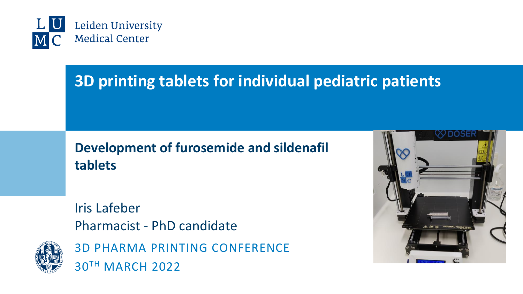

# **3D printing tablets for individual pediatric patients**

#### **Development of furosemide and sildenafil tablets**

Iris Lafeber Pharmacist - PhD candidate



3D PHARMA PRINTING CONFERENCE 30TH MARCH 2022

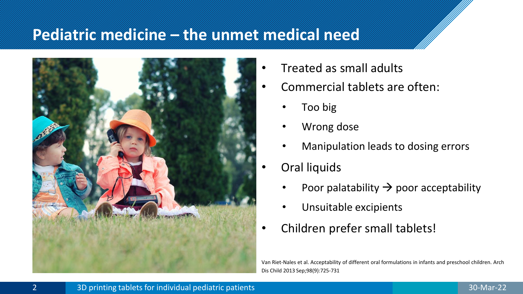#### **Pediatric medicine – the unmet medical need**



- Treated as small adults
- Commercial tablets are often:
	- Too big
	- Wrong dose
	- Manipulation leads to dosing errors
- Oral liquids
	- Poor palatability  $\rightarrow$  poor acceptability
	- Unsuitable excipients
- Children prefer small tablets!

Van Riet-Nales et al. Acceptability of different oral formulations in infants and preschool children. Arch Dis Child 2013 Sep;98(9):725-731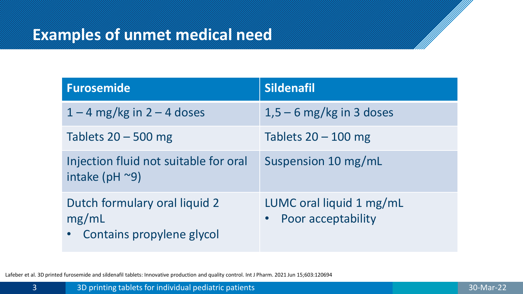## **Examples of unmet medical need**

| <b>Furosemide</b>                                                   | <b>Sildenafil</b>                                |
|---------------------------------------------------------------------|--------------------------------------------------|
| $1 - 4$ mg/kg in $2 - 4$ doses                                      | $1,5-6$ mg/kg in 3 doses                         |
| Tablets $20 - 500$ mg                                               | Tablets $20 - 100$ mg                            |
| Injection fluid not suitable for oral<br>intake ( $pH \sim 9$ )     | Suspension 10 mg/mL                              |
| Dutch formulary oral liquid 2<br>mg/mL<br>Contains propylene glycol | LUMC oral liquid 1 mg/mL<br>• Poor acceptability |

Lafeber et al. 3D printed furosemide and sildenafil tablets: Innovative production and quality control. Int J Pharm. 2021 Jun 15;603:120694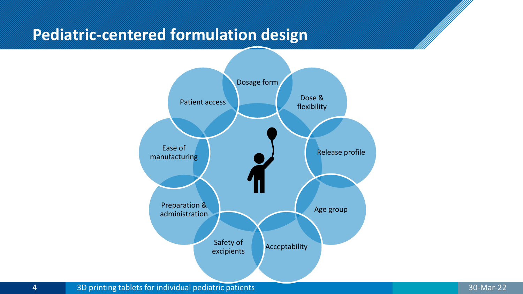#### **Pediatric-centered formulation design**



4 3D printing tablets for individual pediatric patients 30-Mar-22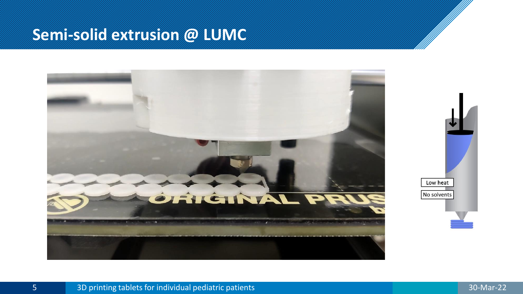#### **Semi-solid extrusion @ LUMC**

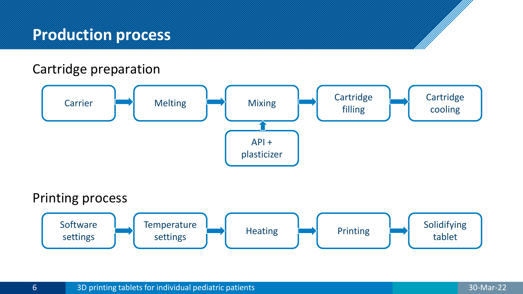#### **Production process**

#### Cartridge preparation

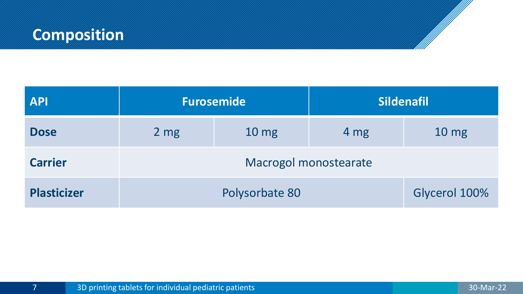# **Composition**

| <b>API</b>         | <b>Furosemide</b>     |                  | <b>Sildenafil</b> |                 |
|--------------------|-----------------------|------------------|-------------------|-----------------|
| <b>Dose</b>        | 2 <sub>mg</sub>       | 10 <sub>mg</sub> | 4 mg              | $10 \text{ mg}$ |
| <b>Carrier</b>     | Macrogol monostearate |                  |                   |                 |
| <b>Plasticizer</b> | Polysorbate 80        |                  | Glycerol 100%     |                 |

and the contract of the contract of the contract of the contract of the contract of the contract of the contract of the contract of the contract of the contract of the contract of the contract of the contract of the contra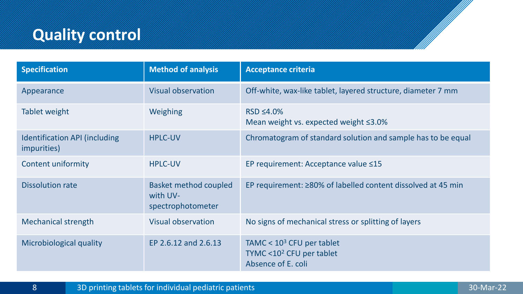# **Quality control**

| <b>Specification</b>                                | <b>Method of analysis</b>                                     | <b>Acceptance criteria</b>                                                       |
|-----------------------------------------------------|---------------------------------------------------------------|----------------------------------------------------------------------------------|
| Appearance                                          | <b>Visual observation</b>                                     | Off-white, wax-like tablet, layered structure, diameter 7 mm                     |
| Tablet weight                                       | Weighing                                                      | $RSD \leq 4.0\%$<br>Mean weight vs. expected weight ≤3.0%                        |
| <b>Identification API (including</b><br>impurities) | <b>HPLC-UV</b>                                                | Chromatogram of standard solution and sample has to be equal                     |
| Content uniformity                                  | <b>HPLC-UV</b>                                                | EP requirement: Acceptance value ≤15                                             |
| <b>Dissolution rate</b>                             | <b>Basket method coupled</b><br>with UV-<br>spectrophotometer | EP requirement: ≥80% of labelled content dissolved at 45 min                     |
| <b>Mechanical strength</b>                          | Visual observation                                            | No signs of mechanical stress or splitting of layers                             |
| Microbiological quality                             | EP 2.6.12 and 2.6.13                                          | TAMC < $103$ CFU per tablet<br>TYMC < $102$ CFU per tablet<br>Absence of E. coli |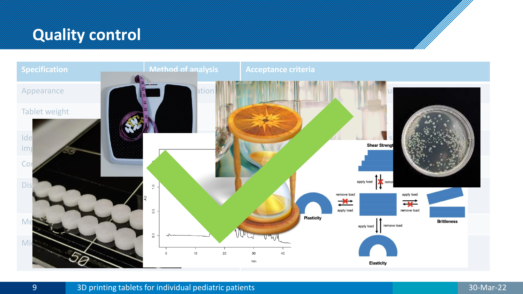# **Quality control**

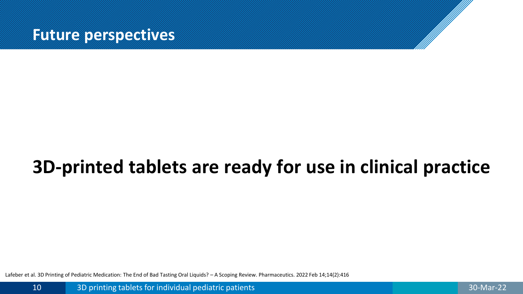

# **3D-printed tablets are ready for use in clinical practice**

Lafeber et al. 3D Printing of Pediatric Medication: The End of Bad Tasting Oral Liquids? – A Scoping Review. Pharmaceutics. 2022 Feb 14;14(2):416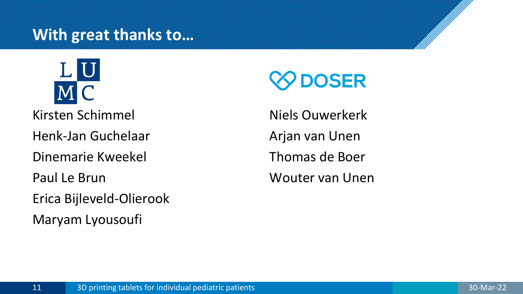#### **With great thanks to…**



Kirsten Schimmel

Henk-Jan Guchelaar

Dinemarie Kweekel

Paul Le Brun

Erica Bijleveld-Olierook

Maryam Lyousoufi

# **PDOSER**

Niels Ouwerkerk Arjan van Unen Thomas de Boer Wouter van Unen